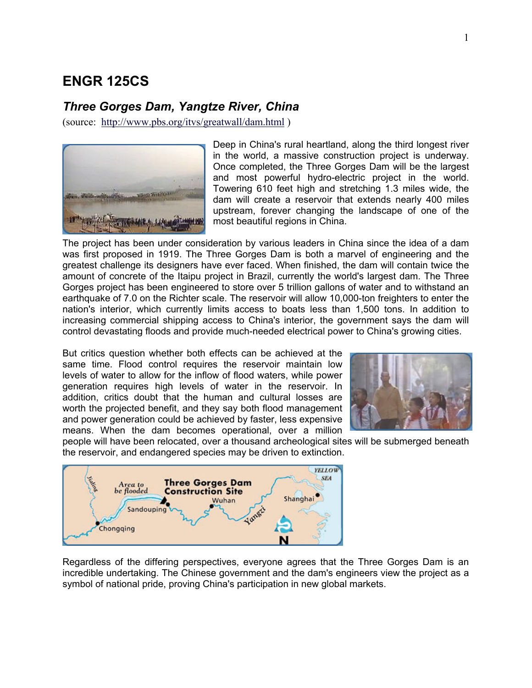# **ENGR 125CS**

# *Three Gorges Dam, Yangtze River, China*

(source: <http://www.pbs.org/itvs/greatwall/dam.html>)



Deep in China's rural heartland, along the third longest river in the world, a massive construction project is underway. Once completed, the Three Gorges Dam will be the largest and most powerful hydro-electric project in the world. Towering 610 feet high and stretching 1.3 miles wide, the dam will create a reservoir that extends nearly 400 miles upstream, forever changing the landscape of one of the most beautiful regions in China.

The project has been under consideration by various leaders in China since the idea of a dam was first proposed in 1919. The Three Gorges Dam is both a marvel of engineering and the greatest challenge its designers have ever faced. When finished, the dam will contain twice the amount of concrete of the Itaipu project in Brazil, currently the world's largest dam. The Three Gorges project has been engineered to store over 5 trillion gallons of water and to withstand an earthquake of 7.0 on the Richter scale. The reservoir will allow 10,000-ton freighters to enter the nation's interior, which currently limits access to boats less than 1,500 tons. In addition to increasing commercial shipping access to China's interior, the government says the dam will control devastating floods and provide much-needed electrical power to China's growing cities.

But critics question whether both effects can be achieved at the same time. Flood control requires the reservoir maintain low levels of water to allow for the inflow of flood waters, while power generation requires high levels of water in the reservoir. In addition, critics doubt that the human and cultural losses are worth the projected benefit, and they say both flood management and power generation could be achieved by faster, less expensive means. When the dam becomes operational, over a million



people will have been relocated, over a thousand archeological sites will be submerged beneath the reservoir, and endangered species may be driven to extinction.



Regardless of the differing perspectives, everyone agrees that the Three Gorges Dam is an incredible undertaking. The Chinese government and the dam's engineers view the project as a symbol of national pride, proving China's participation in new global markets.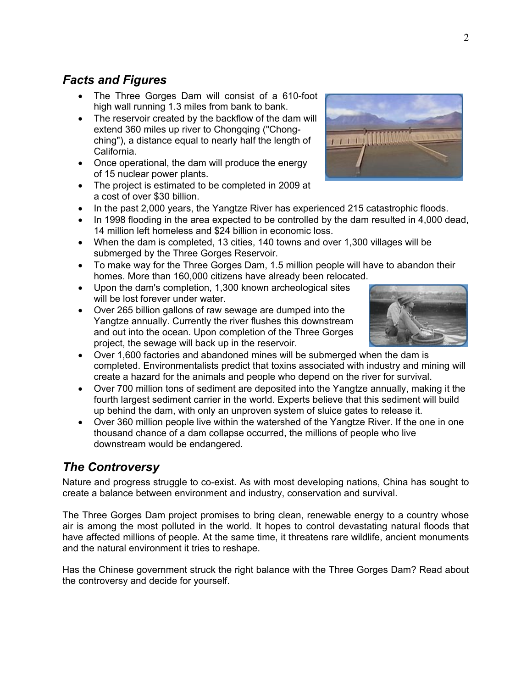# *Facts and Figures*

- The Three Gorges Dam will consist of a 610-foot high wall running 1.3 miles from bank to bank.
- The reservoir created by the backflow of the dam will extend 360 miles up river to Chongqing ("Chongching"), a distance equal to nearly half the length of California.
- Once operational, the dam will produce the energy of 15 nuclear power plants.
- The project is estimated to be completed in 2009 at a cost of over \$30 billion.
- In the past 2,000 years, the Yangtze River has experienced 215 catastrophic floods.
- In 1998 flooding in the area expected to be controlled by the dam resulted in 4,000 dead, 14 million left homeless and \$24 billion in economic loss.
- When the dam is completed, 13 cities, 140 towns and over 1,300 villages will be submerged by the Three Gorges Reservoir.
- To make way for the Three Gorges Dam, 1.5 million people will have to abandon their homes. More than 160,000 citizens have already been relocated.
- Upon the dam's completion, 1,300 known archeological sites will be lost forever under water.
- Over 265 billion gallons of raw sewage are dumped into the Yangtze annually. Currently the river flushes this downstream and out into the ocean. Upon completion of the Three Gorges project, the sewage will back up in the reservoir.
- Over 1,600 factories and abandoned mines will be submerged when the dam is completed. Environmentalists predict that toxins associated with industry and mining will create a hazard for the animals and people who depend on the river for survival.
- Over 700 million tons of sediment are deposited into the Yangtze annually, making it the fourth largest sediment carrier in the world. Experts believe that this sediment will build up behind the dam, with only an unproven system of sluice gates to release it.
- Over 360 million people live within the watershed of the Yangtze River. If the one in one thousand chance of a dam collapse occurred, the millions of people who live downstream would be endangered.

# *The Controversy*

Nature and progress struggle to co-exist. As with most developing nations, China has sought to create a balance between environment and industry, conservation and survival.

The Three Gorges Dam project promises to bring clean, renewable energy to a country whose air is among the most polluted in the world. It hopes to control devastating natural floods that have affected millions of people. At the same time, it threatens rare wildlife, ancient monuments and the natural environment it tries to reshape.

Has the Chinese government struck the right balance with the Three Gorges Dam? Read about the controversy and decide for yourself.



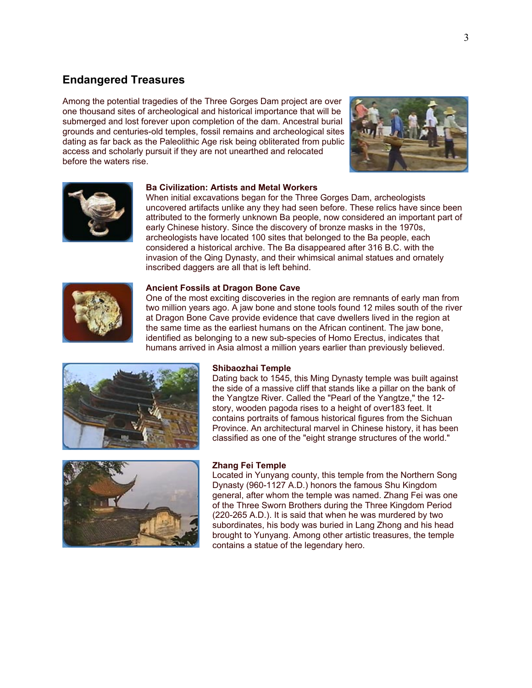# **Endangered Treasures**

Among the potential tragedies of the Three Gorges Dam project are over one thousand sites of archeological and historical importance that will be submerged and lost forever upon completion of the dam. Ancestral burial grounds and centuries-old temples, fossil remains and archeological sites dating as far back as the Paleolithic Age risk being obliterated from public access and scholarly pursuit if they are not unearthed and relocated before the waters rise.





#### **Ba Civilization: Artists and Metal Workers**

When initial excavations began for the Three Gorges Dam, archeologists uncovered artifacts unlike any they had seen before. These relics have since been attributed to the formerly unknown Ba people, now considered an important part of early Chinese history. Since the discovery of bronze masks in the 1970s, archeologists have located 100 sites that belonged to the Ba people, each considered a historical archive. The Ba disappeared after 316 B.C. with the invasion of the Qing Dynasty, and their whimsical animal statues and ornately inscribed daggers are all that is left behind.



One of the most exciting discoveries in the region are remnants of early man from two million years ago. A jaw bone and stone tools found 12 miles south of the river at Dragon Bone Cave provide evidence that cave dwellers lived in the region at the same time as the earliest humans on the African continent. The jaw bone, identified as belonging to a new sub-species of Homo Erectus, indicates that humans arrived in Asia almost a million years earlier than previously believed.



#### **Shibaozhai Temple**

Dating back to 1545, this Ming Dynasty temple was built against the side of a massive cliff that stands like a pillar on the bank of the Yangtze River. Called the "Pearl of the Yangtze," the 12 story, wooden pagoda rises to a height of over183 feet. It contains portraits of famous historical figures from the Sichuan Province. An architectural marvel in Chinese history, it has been classified as one of the "eight strange structures of the world."



#### **Zhang Fei Temple**

Located in Yunyang county, this temple from the Northern Song Dynasty (960-1127 A.D.) honors the famous Shu Kingdom general, after whom the temple was named. Zhang Fei was one of the Three Sworn Brothers during the Three Kingdom Period (220-265 A.D.). It is said that when he was murdered by two subordinates, his body was buried in Lang Zhong and his head brought to Yunyang. Among other artistic treasures, the temple contains a statue of the legendary hero.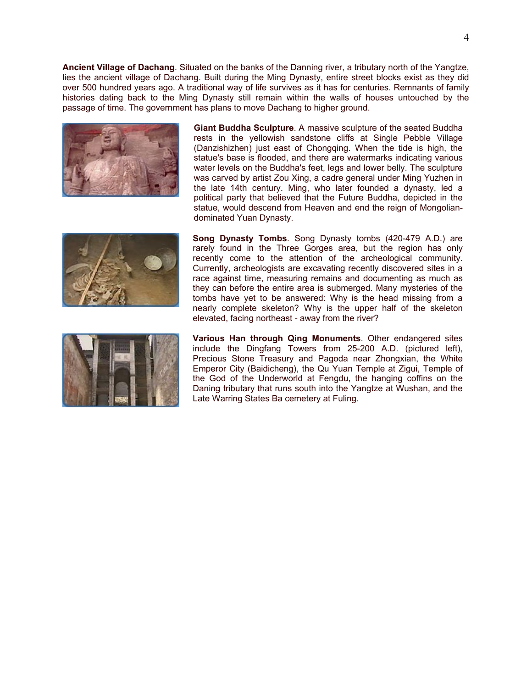**Ancient Village of Dachang**. Situated on the banks of the Danning river, a tributary north of the Yangtze, lies the ancient village of Dachang. Built during the Ming Dynasty, entire street blocks exist as they did over 500 hundred years ago. A traditional way of life survives as it has for centuries. Remnants of family histories dating back to the Ming Dynasty still remain within the walls of houses untouched by the passage of time. The government has plans to move Dachang to higher ground.



**Giant Buddha Sculpture**. A massive sculpture of the seated Buddha rests in the yellowish sandstone cliffs at Single Pebble Village (Danzishizhen) just east of Chongqing. When the tide is high, the statue's base is flooded, and there are watermarks indicating various water levels on the Buddha's feet, legs and lower belly. The sculpture was carved by artist Zou Xing, a cadre general under Ming Yuzhen in the late 14th century. Ming, who later founded a dynasty, led a political party that believed that the Future Buddha, depicted in the statue, would descend from Heaven and end the reign of Mongoliandominated Yuan Dynasty.



**Song Dynasty Tombs**. Song Dynasty tombs (420-479 A.D.) are rarely found in the Three Gorges area, but the region has only recently come to the attention of the archeological community. Currently, archeologists are excavating recently discovered sites in a race against time, measuring remains and documenting as much as they can before the entire area is submerged. Many mysteries of the tombs have yet to be answered: Why is the head missing from a nearly complete skeleton? Why is the upper half of the skeleton elevated, facing northeast - away from the river?



**Various Han through Qing Monuments**. Other endangered sites include the Dingfang Towers from 25-200 A.D. (pictured left), Precious Stone Treasury and Pagoda near Zhongxian, the White Emperor City (Baidicheng), the Qu Yuan Temple at Zigui, Temple of the God of the Underworld at Fengdu, the hanging coffins on the Daning tributary that runs south into the Yangtze at Wushan, and the Late Warring States Ba cemetery at Fuling.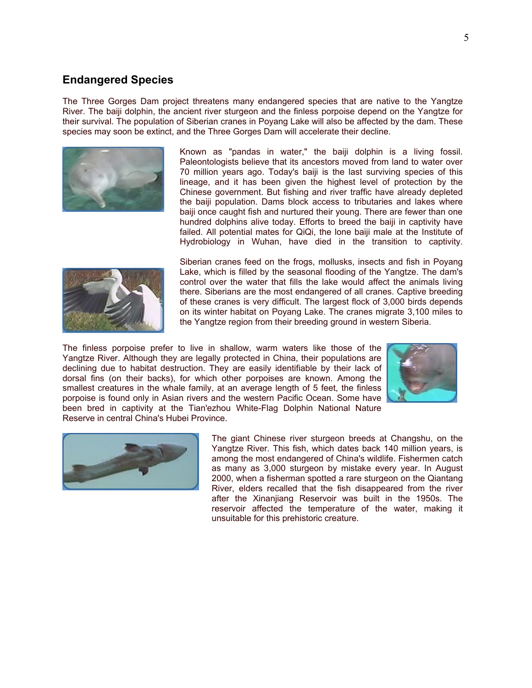## **Endangered Species**

The Three Gorges Dam project threatens many endangered species that are native to the Yangtze River. The baiji dolphin, the ancient river sturgeon and the finless porpoise depend on the Yangtze for their survival. The population of Siberian cranes in Poyang Lake will also be affected by the dam. These species may soon be extinct, and the Three Gorges Dam will accelerate their decline.



Known as "pandas in water," the baiji dolphin is a living fossil. Paleontologists believe that its ancestors moved from land to water over 70 million years ago. Today's baiji is the last surviving species of this lineage, and it has been given the highest level of protection by the Chinese government. But fishing and river traffic have already depleted the baiji population. Dams block access to tributaries and lakes where baiji once caught fish and nurtured their young. There are fewer than one hundred dolphins alive today. Efforts to breed the baiji in captivity have failed. All potential mates for QiQi, the lone baiji male at the Institute of Hydrobiology in Wuhan, have died in the transition to captivity.



Siberian cranes feed on the frogs, mollusks, insects and fish in Poyang Lake, which is filled by the seasonal flooding of the Yangtze. The dam's control over the water that fills the lake would affect the animals living there. Siberians are the most endangered of all cranes. Captive breeding of these cranes is very difficult. The largest flock of 3,000 birds depends on its winter habitat on Poyang Lake. The cranes migrate 3,100 miles to the Yangtze region from their breeding ground in western Siberia.

The finless porpoise prefer to live in shallow, warm waters like those of the Yangtze River. Although they are legally protected in China, their populations are declining due to habitat destruction. They are easily identifiable by their lack of dorsal fins (on their backs), for which other porpoises are known. Among the smallest creatures in the whale family, at an average length of 5 feet, the finless porpoise is found only in Asian rivers and the western Pacific Ocean. Some have been bred in captivity at the Tian'ezhou White-Flag Dolphin National Nature Reserve in central China's Hubei Province.





The giant Chinese river sturgeon breeds at Changshu, on the Yangtze River. This fish, which dates back 140 million years, is among the most endangered of China's wildlife. Fishermen catch as many as 3,000 sturgeon by mistake every year. In August 2000, when a fisherman spotted a rare sturgeon on the Qiantang River, elders recalled that the fish disappeared from the river after the Xinanjiang Reservoir was built in the 1950s. The reservoir affected the temperature of the water, making it unsuitable for this prehistoric creature.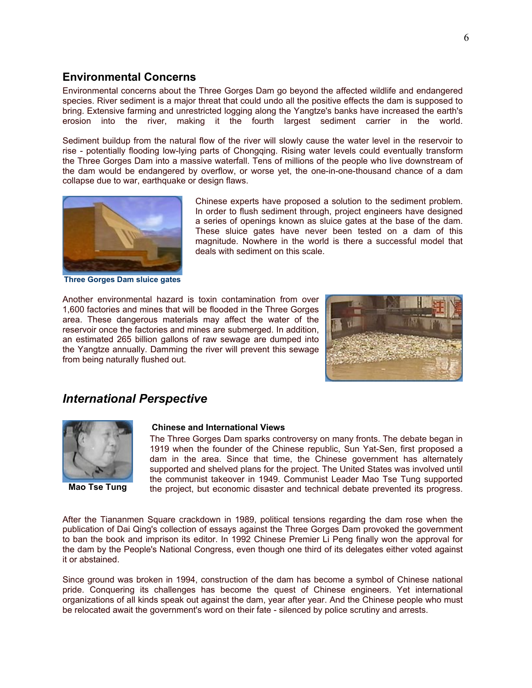# **Environmental Concerns**

Environmental concerns about the Three Gorges Dam go beyond the affected wildlife and endangered species. River sediment is a major threat that could undo all the positive effects the dam is supposed to bring. Extensive farming and unrestricted logging along the Yangtze's banks have increased the earth's erosion into the river, making it the fourth largest sediment carrier in the world.

Sediment buildup from the natural flow of the river will slowly cause the water level in the reservoir to rise - potentially flooding low-lying parts of Chongqing. Rising water levels could eventually transform the Three Gorges Dam into a massive waterfall. Tens of millions of the people who live downstream of the dam would be endangered by overflow, or worse yet, the one-in-one-thousand chance of a dam collapse due to war, earthquake or design flaws.



**Three Gorges Dam sluice gates**

Chinese experts have proposed a solution to the sediment problem. In order to flush sediment through, project engineers have designed a series of openings known as sluice gates at the base of the dam. These sluice gates have never been tested on a dam of this magnitude. Nowhere in the world is there a successful model that deals with sediment on this scale.

Another environmental hazard is toxin contamination from over 1,600 factories and mines that will be flooded in the Three Gorges area. These dangerous materials may affect the water of the reservoir once the factories and mines are submerged. In addition, an estimated 265 billion gallons of raw sewage are dumped into the Yangtze annually. Damming the river will prevent this sewage from being naturally flushed out.



# *International Perspective*



**Mao Tse Tung**

#### **Chinese and International Views**

The Three Gorges Dam sparks controversy on many fronts. The debate began in 1919 when the founder of the Chinese republic, Sun Yat-Sen, first proposed a dam in the area. Since that time, the Chinese government has alternately supported and shelved plans for the project. The United States was involved until the communist takeover in 1949. Communist Leader Mao Tse Tung supported the project, but economic disaster and technical debate prevented its progress.

After the Tiananmen Square crackdown in 1989, political tensions regarding the dam rose when the publication of Dai Qing's collection of essays against the Three Gorges Dam provoked the government to ban the book and imprison its editor. In 1992 Chinese Premier Li Peng finally won the approval for the dam by the People's National Congress, even though one third of its delegates either voted against it or abstained.

Since ground was broken in 1994, construction of the dam has become a symbol of Chinese national pride. Conquering its challenges has become the quest of Chinese engineers. Yet international organizations of all kinds speak out against the dam, year after year. And the Chinese people who must be relocated await the government's word on their fate - silenced by police scrutiny and arrests.